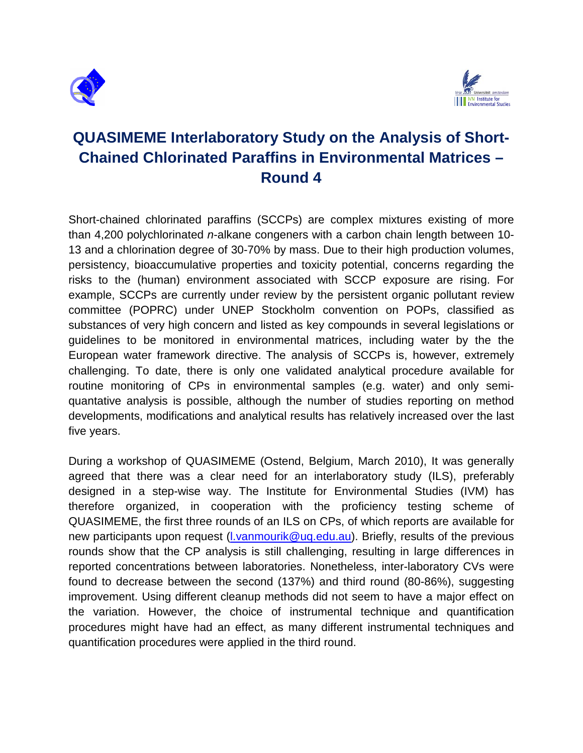



# **QUASIMEME Interlaboratory Study on the Analysis of Short-Chained Chlorinated Paraffins in Environmental Matrices – Round 4**

Short-chained chlorinated paraffins (SCCPs) are complex mixtures existing of more than 4,200 polychlorinated *n*-alkane congeners with a carbon chain length between 10- 13 and a chlorination degree of 30-70% by mass. Due to their high production volumes, persistency, bioaccumulative properties and toxicity potential, concerns regarding the risks to the (human) environment associated with SCCP exposure are rising. For example, SCCPs are currently under review by the persistent organic pollutant review committee (POPRC) under UNEP Stockholm convention on POPs, classified as substances of very high concern and listed as key compounds in several legislations or guidelines to be monitored in environmental matrices, including water by the the European water framework directive. The analysis of SCCPs is, however, extremely challenging. To date, there is only one validated analytical procedure available for routine monitoring of CPs in environmental samples (e.g. water) and only semiquantative analysis is possible, although the number of studies reporting on method developments, modifications and analytical results has relatively increased over the last five years.

During a workshop of QUASIMEME (Ostend, Belgium, March 2010), It was generally agreed that there was a clear need for an interlaboratory study (ILS), preferably designed in a step-wise way. The Institute for Environmental Studies (IVM) has therefore organized, in cooperation with the proficiency testing scheme of QUASIMEME, the first three rounds of an ILS on CPs, of which reports are available for new participants upon request [\(l.vanmourik@uq.edu.au\)](mailto:l.vanmourik@uq.edu.au). Briefly, results of the previous rounds show that the CP analysis is still challenging, resulting in large differences in reported concentrations between laboratories. Nonetheless, inter-laboratory CVs were found to decrease between the second (137%) and third round (80-86%), suggesting improvement. Using different cleanup methods did not seem to have a major effect on the variation. However, the choice of instrumental technique and quantification procedures might have had an effect, as many different instrumental techniques and quantification procedures were applied in the third round.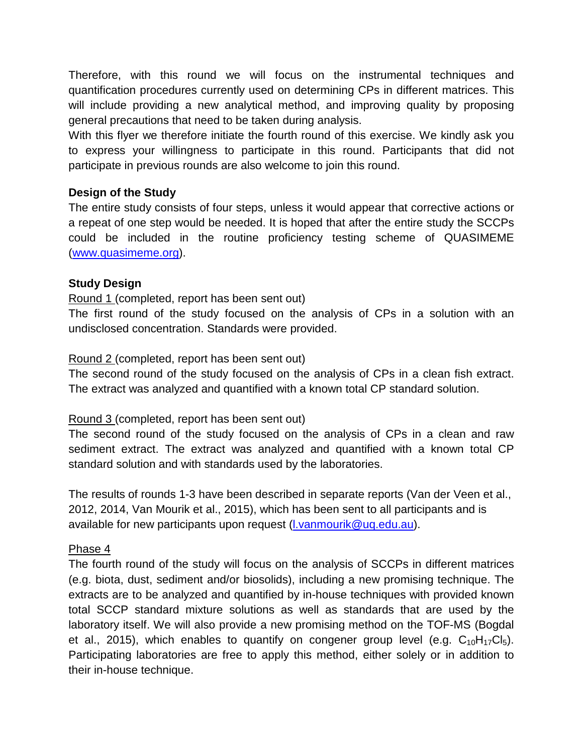Therefore, with this round we will focus on the instrumental techniques and quantification procedures currently used on determining CPs in different matrices. This will include providing a new analytical method, and improving quality by proposing general precautions that need to be taken during analysis.

With this flyer we therefore initiate the fourth round of this exercise. We kindly ask you to express your willingness to participate in this round. Participants that did not participate in previous rounds are also welcome to join this round.

## **Design of the Study**

The entire study consists of four steps, unless it would appear that corrective actions or a repeat of one step would be needed. It is hoped that after the entire study the SCCPs could be included in the routine proficiency testing scheme of QUASIMEME [\(www.quasimeme.org\)](http://www.quasimeme.org/).

## **Study Design**

## Round 1 (completed, report has been sent out)

The first round of the study focused on the analysis of CPs in a solution with an undisclosed concentration. Standards were provided.

## Round 2 (completed, report has been sent out)

The second round of the study focused on the analysis of CPs in a clean fish extract. The extract was analyzed and quantified with a known total CP standard solution.

## Round 3 (completed, report has been sent out)

The second round of the study focused on the analysis of CPs in a clean and raw sediment extract. The extract was analyzed and quantified with a known total CP standard solution and with standards used by the laboratories.

The results of rounds 1-3 have been described in separate reports (Van der Veen et al., 2012, 2014, Van Mourik et al., 2015), which has been sent to all participants and is available for new participants upon request [\(l.vanmourik@uq.edu.au\)](mailto:l.vanmourik@uq.edu.au).

## Phase 4

The fourth round of the study will focus on the analysis of SCCPs in different matrices (e.g. biota, dust, sediment and/or biosolids), including a new promising technique. The extracts are to be analyzed and quantified by in-house techniques with provided known total SCCP standard mixture solutions as well as standards that are used by the laboratory itself. We will also provide a new promising method on the TOF-MS (Bogdal et al., 2015), which enables to quantify on congener group level (e.g.  $C_{10}H_{17}Cl_5$ ). Participating laboratories are free to apply this method, either solely or in addition to their in-house technique.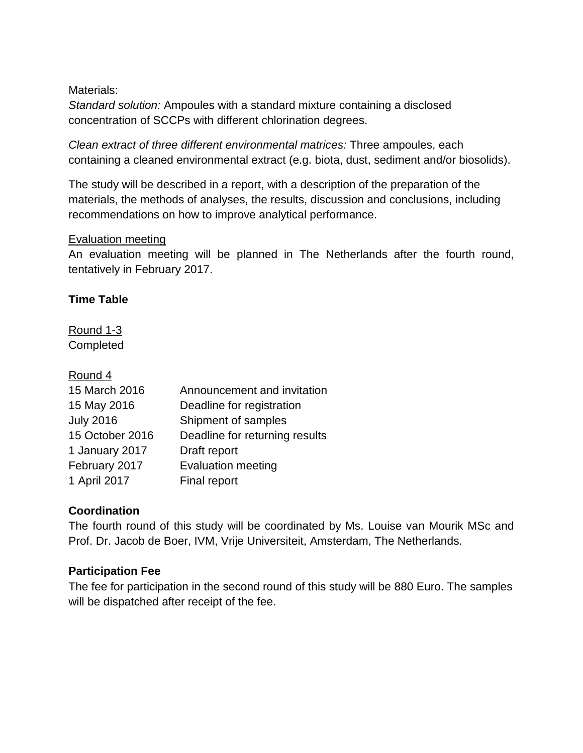## Materials:

*Standard solution:* Ampoules with a standard mixture containing a disclosed concentration of SCCPs with different chlorination degrees.

*Clean extract of three different environmental matrices:* Three ampoules, each containing a cleaned environmental extract (e.g. biota, dust, sediment and/or biosolids).

The study will be described in a report, with a description of the preparation of the materials, the methods of analyses, the results, discussion and conclusions, including recommendations on how to improve analytical performance.

## Evaluation meeting

An evaluation meeting will be planned in The Netherlands after the fourth round, tentatively in February 2017.

# **Time Table**

Round 1-3 **Completed** 

# Round 4

| 15 March 2016    | Announcement and invitation    |
|------------------|--------------------------------|
| 15 May 2016      | Deadline for registration      |
| <b>July 2016</b> | Shipment of samples            |
| 15 October 2016  | Deadline for returning results |
| 1 January 2017   | Draft report                   |
| February 2017    | <b>Evaluation meeting</b>      |
| 1 April 2017     | Final report                   |

# **Coordination**

The fourth round of this study will be coordinated by Ms. Louise van Mourik MSc and Prof. Dr. Jacob de Boer, IVM, Vrije Universiteit, Amsterdam, The Netherlands.

# **Participation Fee**

The fee for participation in the second round of this study will be 880 Euro. The samples will be dispatched after receipt of the fee.